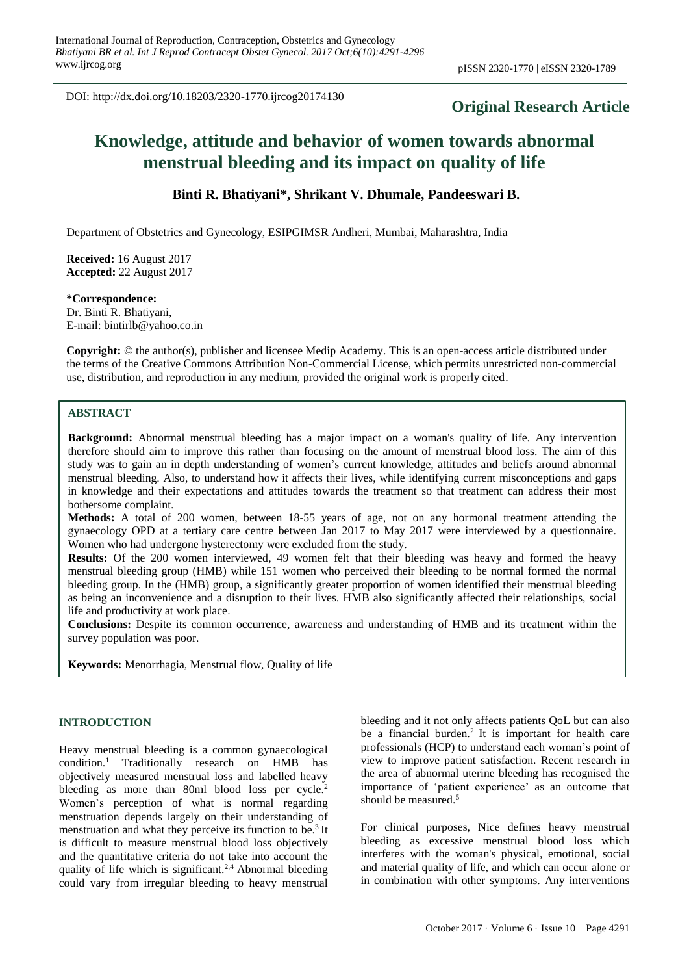DOI: http://dx.doi.org/10.18203/2320-1770.ijrcog20174130

# **Original Research Article**

# **Knowledge, attitude and behavior of women towards abnormal menstrual bleeding and its impact on quality of life**

# **Binti R. Bhatiyani\*, Shrikant V. Dhumale, Pandeeswari B.**

Department of Obstetrics and Gynecology, ESIPGIMSR Andheri, Mumbai, Maharashtra, India

**Received:** 16 August 2017 **Accepted:** 22 August 2017

# **\*Correspondence:**

Dr. Binti R. Bhatiyani, E-mail: bintirlb@yahoo.co.in

**Copyright:** © the author(s), publisher and licensee Medip Academy. This is an open-access article distributed under the terms of the Creative Commons Attribution Non-Commercial License, which permits unrestricted non-commercial use, distribution, and reproduction in any medium, provided the original work is properly cited.

### **ABSTRACT**

**Background:** Abnormal menstrual bleeding has a major impact on a woman's quality of life. Any intervention therefore should aim to improve this rather than focusing on the amount of menstrual blood loss. The aim of this study was to gain an in depth understanding of women's current knowledge, attitudes and beliefs around abnormal menstrual bleeding. Also, to understand how it affects their lives, while identifying current misconceptions and gaps in knowledge and their expectations and attitudes towards the treatment so that treatment can address their most bothersome complaint.

**Methods:** A total of 200 women, between 18-55 years of age, not on any hormonal treatment attending the gynaecology OPD at a tertiary care centre between Jan 2017 to May 2017 were interviewed by a questionnaire. Women who had undergone hysterectomy were excluded from the study.

**Results:** Of the 200 women interviewed, 49 women felt that their bleeding was heavy and formed the heavy menstrual bleeding group (HMB) while 151 women who perceived their bleeding to be normal formed the normal bleeding group. In the (HMB) group, a significantly greater proportion of women identified their menstrual bleeding as being an inconvenience and a disruption to their lives. HMB also significantly affected their relationships, social life and productivity at work place.

**Conclusions:** Despite its common occurrence, awareness and understanding of HMB and its treatment within the survey population was poor.

**Keywords:** Menorrhagia, Menstrual flow, Quality of life

#### **INTRODUCTION**

Heavy menstrual bleeding is a common gynaecological condition.<sup>1</sup> Traditionally research on HMB has objectively measured menstrual loss and labelled heavy bleeding as more than 80ml blood loss per cycle.<sup>2</sup> Women's perception of what is normal regarding menstruation depends largely on their understanding of menstruation and what they perceive its function to be.<sup>3</sup> It is difficult to measure menstrual blood loss objectively and the quantitative criteria do not take into account the quality of life which is significant.2,4 Abnormal bleeding could vary from irregular bleeding to heavy menstrual bleeding and it not only affects patients QoL but can also be a financial burden.<sup>2</sup> It is important for health care professionals (HCP) to understand each woman's point of view to improve patient satisfaction. Recent research in the area of abnormal uterine bleeding has recognised the importance of 'patient experience' as an outcome that should be measured.<sup>5</sup>

For clinical purposes, Nice defines heavy menstrual bleeding as excessive menstrual blood loss which interferes with the woman's physical, emotional, social and material quality of life, and which can occur alone or in combination with other symptoms. Any interventions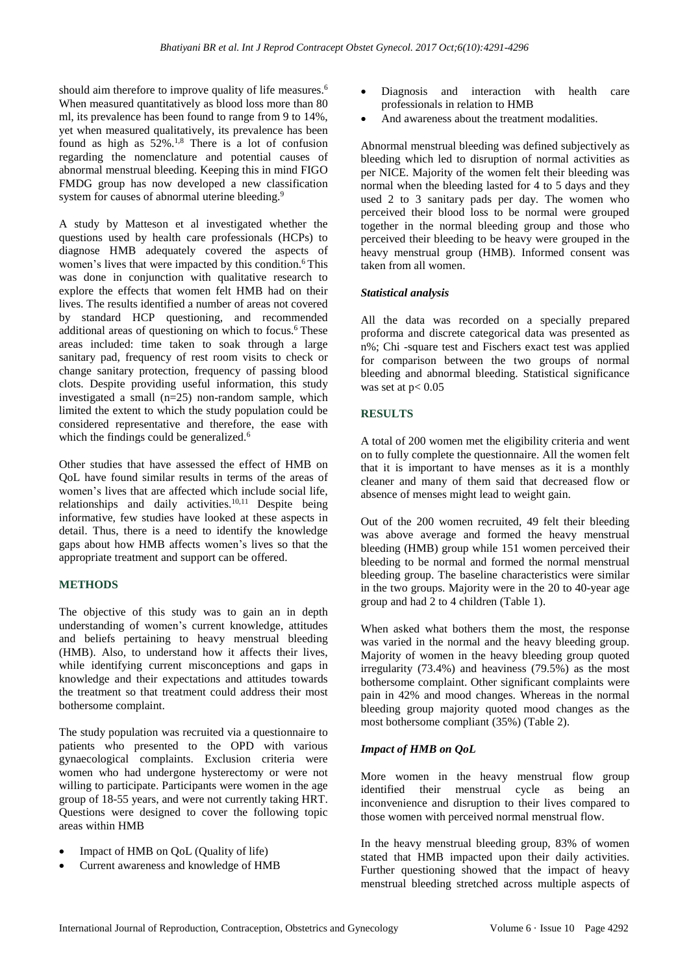should aim therefore to improve quality of life measures.<sup>6</sup> When measured quantitatively as blood loss more than 80 ml, its prevalence has been found to range from 9 to 14%, yet when measured qualitatively, its prevalence has been found as high as  $52\%$ .<sup>1,8</sup> There is a lot of confusion regarding the nomenclature and potential causes of abnormal menstrual bleeding. Keeping this in mind FIGO FMDG group has now developed a new classification system for causes of abnormal uterine bleeding.<sup>9</sup>

A study by Matteson et al investigated whether the questions used by health care professionals (HCPs) to diagnose HMB adequately covered the aspects of women's lives that were impacted by this condition.<sup>6</sup> This was done in conjunction with qualitative research to explore the effects that women felt HMB had on their lives. The results identified a number of areas not covered by standard HCP questioning, and recommended additional areas of questioning on which to focus.<sup>6</sup> These areas included: time taken to soak through a large sanitary pad, frequency of rest room visits to check or change sanitary protection, frequency of passing blood clots. Despite providing useful information, this study investigated a small (n=25) non-random sample, which limited the extent to which the study population could be considered representative and therefore, the ease with which the findings could be generalized.<sup>6</sup>

Other studies that have assessed the effect of HMB on QoL have found similar results in terms of the areas of women's lives that are affected which include social life, relationships and daily activities.<sup>10,11</sup> Despite being informative, few studies have looked at these aspects in detail. Thus, there is a need to identify the knowledge gaps about how HMB affects women's lives so that the appropriate treatment and support can be offered.

# **METHODS**

The objective of this study was to gain an in depth understanding of women's current knowledge, attitudes and beliefs pertaining to heavy menstrual bleeding (HMB). Also, to understand how it affects their lives, while identifying current misconceptions and gaps in knowledge and their expectations and attitudes towards the treatment so that treatment could address their most bothersome complaint.

The study population was recruited via a questionnaire to patients who presented to the OPD with various gynaecological complaints. Exclusion criteria were women who had undergone hysterectomy or were not willing to participate. Participants were women in the age group of 18-55 years, and were not currently taking HRT. Questions were designed to cover the following topic areas within HMB

- Impact of HMB on QoL (Quality of life)
- Current awareness and knowledge of HMB
- Diagnosis and interaction with health care professionals in relation to HMB
- And awareness about the treatment modalities.

Abnormal menstrual bleeding was defined subjectively as bleeding which led to disruption of normal activities as per NICE. Majority of the women felt their bleeding was normal when the bleeding lasted for 4 to 5 days and they used 2 to 3 sanitary pads per day. The women who perceived their blood loss to be normal were grouped together in the normal bleeding group and those who perceived their bleeding to be heavy were grouped in the heavy menstrual group (HMB). Informed consent was taken from all women.

#### *Statistical analysis*

All the data was recorded on a specially prepared proforma and discrete categorical data was presented as n%; Chi -square test and Fischers exact test was applied for comparison between the two groups of normal bleeding and abnormal bleeding. Statistical significance was set at  $p < 0.05$ 

### **RESULTS**

A total of 200 women met the eligibility criteria and went on to fully complete the questionnaire. All the women felt that it is important to have menses as it is a monthly cleaner and many of them said that decreased flow or absence of menses might lead to weight gain.

Out of the 200 women recruited, 49 felt their bleeding was above average and formed the heavy menstrual bleeding (HMB) group while 151 women perceived their bleeding to be normal and formed the normal menstrual bleeding group. The baseline characteristics were similar in the two groups. Majority were in the 20 to 40-year age group and had 2 to 4 children (Table 1).

When asked what bothers them the most, the response was varied in the normal and the heavy bleeding group. Majority of women in the heavy bleeding group quoted irregularity (73.4%) and heaviness (79.5%) as the most bothersome complaint. Other significant complaints were pain in 42% and mood changes. Whereas in the normal bleeding group majority quoted mood changes as the most bothersome compliant (35%) (Table 2).

### *Impact of HMB on QoL*

More women in the heavy menstrual flow group identified their menstrual cycle as being an inconvenience and disruption to their lives compared to those women with perceived normal menstrual flow.

In the heavy menstrual bleeding group, 83% of women stated that HMB impacted upon their daily activities. Further questioning showed that the impact of heavy menstrual bleeding stretched across multiple aspects of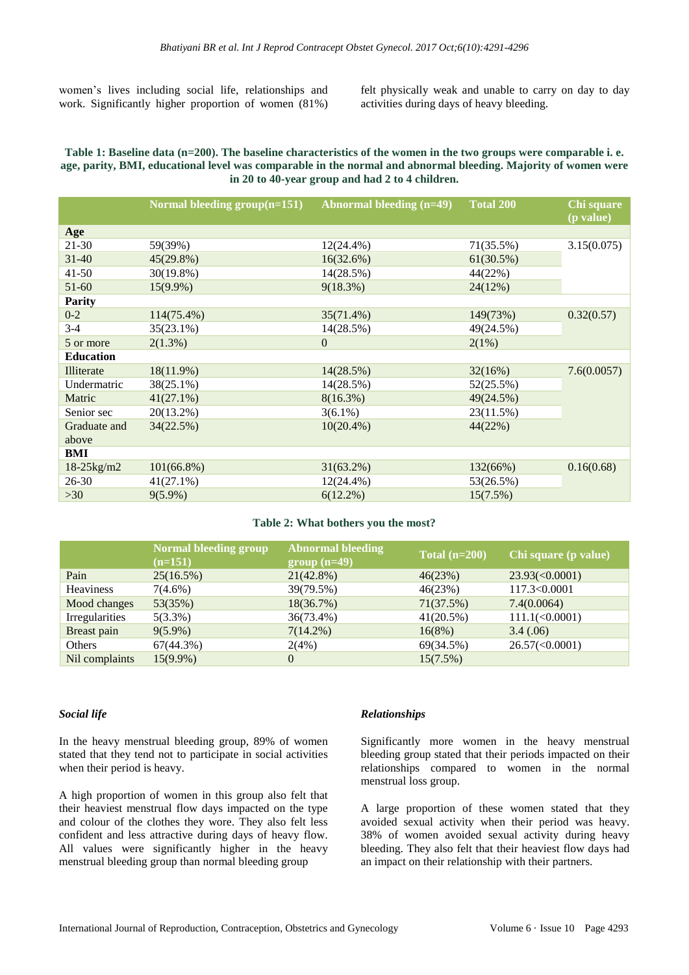women's lives including social life, relationships and work. Significantly higher proportion of women (81%)

felt physically weak and unable to carry on day to day activities during days of heavy bleeding.

#### Table 1: Baseline data (n=200). The baseline characteristics of the women in the two groups were comparable i.e. age, parity, BMI, educational level was comparable in the normal and abnormal bleeding. Majority of women were **in 20 to 40-year group and had 2 to 4 children.**

|                       | Normal bleeding $group(n=151)$ | <b>Abnormal bleeding (n=49)</b> | <b>Total 200</b> | Chi square<br>(p value) |  |
|-----------------------|--------------------------------|---------------------------------|------------------|-------------------------|--|
| Age                   |                                |                                 |                  |                         |  |
| $21-30$               | 59(39%)                        | $12(24.4\%)$                    | 71(35.5%)        | 3.15(0.075)             |  |
| $31 - 40$             | $45(29.8\%)$                   | 16(32.6%)                       | 61(30.5%)        |                         |  |
| $41 - 50$             | 30(19.8%)                      | 14(28.5%)                       | 44(22%)          |                         |  |
| $51-60$               | $15(9.9\%)$                    | 9(18.3%)                        | 24(12%)          |                         |  |
| <b>Parity</b>         |                                |                                 |                  |                         |  |
| $0 - 2$               | 114(75.4%)                     | 35(71.4%)                       | 149(73%)         | 0.32(0.57)              |  |
| $3-4$                 | $35(23.1\%)$                   | 14(28.5%)                       | 49(24.5%)        |                         |  |
| 5 or more             | $2(1.3\%)$                     | $\overline{0}$                  | 2(1%)            |                         |  |
| <b>Education</b>      |                                |                                 |                  |                         |  |
| Illiterate            | 18(11.9%)                      | 14(28.5%)                       | 32(16%)          | 7.6(0.0057)             |  |
| Undermatric           | 38(25.1%)                      | 14(28.5%)                       | 52(25.5%)        |                         |  |
| Matric                | $41(27.1\%)$                   | $8(16.3\%)$                     | 49(24.5%)        |                         |  |
| Senior sec            | $20(13.2\%)$                   | $3(6.1\%)$                      | 23(11.5%)        |                         |  |
| Graduate and<br>above | 34(22.5%)                      | $10(20.4\%)$                    | 44(22%)          |                         |  |
| BMI                   |                                |                                 |                  |                         |  |
| $18 - 25$ kg/m2       | $101(66.8\%)$                  | $31(63.2\%)$                    | 132(66%)         | 0.16(0.68)              |  |
| $26 - 30$             | $41(27.1\%)$                   | $12(24.4\%)$                    | 53(26.5%)        |                         |  |
| >30                   | $9(5.9\%)$                     | $6(12.2\%)$                     | 15(7.5%)         |                         |  |
|                       |                                |                                 |                  |                         |  |

#### **Table 2: What bothers you the most?**

|                  | Normal bleeding group<br>$(n=151)$ | <b>Abnormal bleeding</b><br>$group(n=49)$ | $\text{Total}$ (n=200) | Chi square (p value)    |
|------------------|------------------------------------|-------------------------------------------|------------------------|-------------------------|
| Pain             | 25(16.5%)                          | $21(42.8\%)$                              | 46(23%)                | $23.93 \times 0.0001$   |
| <b>Heaviness</b> | $7(4.6\%)$                         | 39(79.5%)                                 | 46(23%)                | 117.3<0.0001            |
| Mood changes     | 53(35%)                            | 18(36.7%)                                 | 71(37.5%)              | 7.4(0.0064)             |
| Irregularities   | $5(3.3\%)$                         | 36(73.4%)                                 | 41(20.5%)              | $111.1(\leq 0.0001)$    |
| Breast pain      | $9(5.9\%)$                         | $7(14.2\%)$                               | 16(8%)                 | 3.4(.06)                |
| Others           | 67(44.3%)                          | 2(4%)                                     | 69(34.5%)              | $26.57 \times (0.0001)$ |
| Nil complaints   | $15(9.9\%)$                        | $\theta$                                  | 15(7.5%)               |                         |
|                  |                                    |                                           |                        |                         |

### *Social life*

In the heavy menstrual bleeding group, 89% of women stated that they tend not to participate in social activities when their period is heavy.

A high proportion of women in this group also felt that their heaviest menstrual flow days impacted on the type and colour of the clothes they wore. They also felt less confident and less attractive during days of heavy flow. All values were significantly higher in the heavy menstrual bleeding group than normal bleeding group

### *Relationships*

Significantly more women in the heavy menstrual bleeding group stated that their periods impacted on their relationships compared to women in the normal menstrual loss group.

A large proportion of these women stated that they avoided sexual activity when their period was heavy. 38% of women avoided sexual activity during heavy bleeding. They also felt that their heaviest flow days had an impact on their relationship with their partners.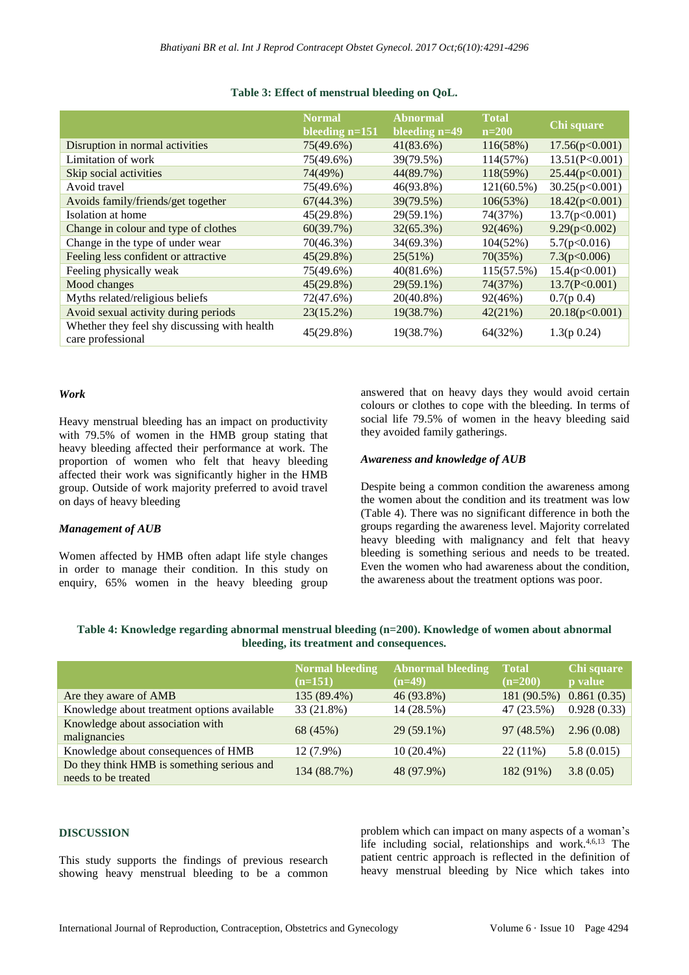|                                                                   | <b>Normal</b><br>bleeding $n=151$ | <b>Abnormal</b><br>bleeding n=49 | <b>Total</b><br>$n=200$ | Chi square     |
|-------------------------------------------------------------------|-----------------------------------|----------------------------------|-------------------------|----------------|
| Disruption in normal activities                                   | 75(49.6%)                         | 41(83.6%)                        | 116(58%)                | 17.56(p<0.001) |
| Limitation of work                                                | 75(49.6%)                         | 39(79.5%)                        | 114(57%)                | 13.51(P<0.001) |
| Skip social activities                                            | 74(49%)                           | 44(89.7%)                        | 118(59%)                | 25.44(p<0.001) |
| Avoid travel                                                      | 75(49.6%)                         | 46(93.8%)                        | $121(60.5\%)$           | 30.25(p<0.001) |
| Avoids family/friends/get together                                | $67(44.3\%)$                      | 39(79.5%)                        | 106(53%)                | 18.42(p<0.001) |
| Isolation at home                                                 | $45(29.8\%)$                      | 29(59.1%)                        | 74(37%)                 | 13.7(p<0.001)  |
| Change in colour and type of clothes                              | 60(39.7%)                         | $32(65.3\%)$                     | 92(46%)                 | 9.29(p<0.002)  |
| Change in the type of under wear                                  | 70(46.3%)                         | 34(69.3%)                        | 104(52%)                | 5.7(p<0.016)   |
| Feeling less confident or attractive                              | $45(29.8\%)$                      | 25(51%)                          | 70(35%)                 | 7.3(p<0.006)   |
| Feeling physically weak                                           | 75(49.6%)                         | 40(81.6%)                        | 115(57.5%)              | 15.4(p<0.001)  |
| Mood changes                                                      | $45(29.8\%)$                      | 29(59.1%)                        | 74(37%)                 | 13.7(P<0.001)  |
| Myths related/religious beliefs                                   | 72(47.6%)                         | $20(40.8\%)$                     | 92(46%)                 | $0.7(p\;0.4)$  |
| Avoid sexual activity during periods                              | 23(15.2%)                         | 19(38.7%)                        | 42(21%)                 | 20.18(p<0.001) |
| Whether they feel shy discussing with health<br>care professional | 45(29.8%)                         | 19(38.7%)                        | 64(32%)                 | 1.3(p 0.24)    |

#### **Table 3: Effect of menstrual bleeding on QoL.**

## *Work*

Heavy menstrual bleeding has an impact on productivity with 79.5% of women in the HMB group stating that heavy bleeding affected their performance at work. The proportion of women who felt that heavy bleeding affected their work was significantly higher in the HMB group. Outside of work majority preferred to avoid travel on days of heavy bleeding

#### *Management of AUB*

Women affected by HMB often adapt life style changes in order to manage their condition. In this study on enquiry, 65% women in the heavy bleeding group answered that on heavy days they would avoid certain colours or clothes to cope with the bleeding. In terms of social life 79.5% of women in the heavy bleeding said they avoided family gatherings.

#### *Awareness and knowledge of AUB*

Despite being a common condition the awareness among the women about the condition and its treatment was low (Table 4). There was no significant difference in both the groups regarding the awareness level. Majority correlated heavy bleeding with malignancy and felt that heavy bleeding is something serious and needs to be treated. Even the women who had awareness about the condition, the awareness about the treatment options was poor.

| Table 4: Knowledge regarding abnormal menstrual bleeding (n=200). Knowledge of women about abnormal |
|-----------------------------------------------------------------------------------------------------|
| bleeding, its treatment and consequences.                                                           |

|                                                                   | <b>Normal bleeding</b><br>$(n=151)$ | <b>Abnormal bleeding</b><br>$(n=49)$ | <b>Total</b><br>$(n=200)$ | Chi square<br><b>p</b> value |
|-------------------------------------------------------------------|-------------------------------------|--------------------------------------|---------------------------|------------------------------|
| Are they aware of AMB                                             | 135 (89.4%)                         | 46 (93.8%)                           | 181 (90.5%)               | 0.861(0.35)                  |
| Knowledge about treatment options available                       | 33 (21.8%)                          | 14 (28.5%)                           | 47 (23.5%)                | 0.928(0.33)                  |
| Knowledge about association with<br>malignancies                  | 68 (45%)                            | $29(59.1\%)$                         | 97 (48.5%)                | 2.96(0.08)                   |
| Knowledge about consequences of HMB                               | $12(7.9\%)$                         | $10(20.4\%)$                         | $22(11\%)$                | 5.8(0.015)                   |
| Do they think HMB is something serious and<br>needs to be treated | 134 (88.7%)                         | 48 (97.9%)                           | 182 (91%)                 | 3.8(0.05)                    |

### **DISCUSSION**

This study supports the findings of previous research showing heavy menstrual bleeding to be a common problem which can impact on many aspects of a woman's life including social, relationships and work.<sup>4,6,13</sup> The patient centric approach is reflected in the definition of heavy menstrual bleeding by Nice which takes into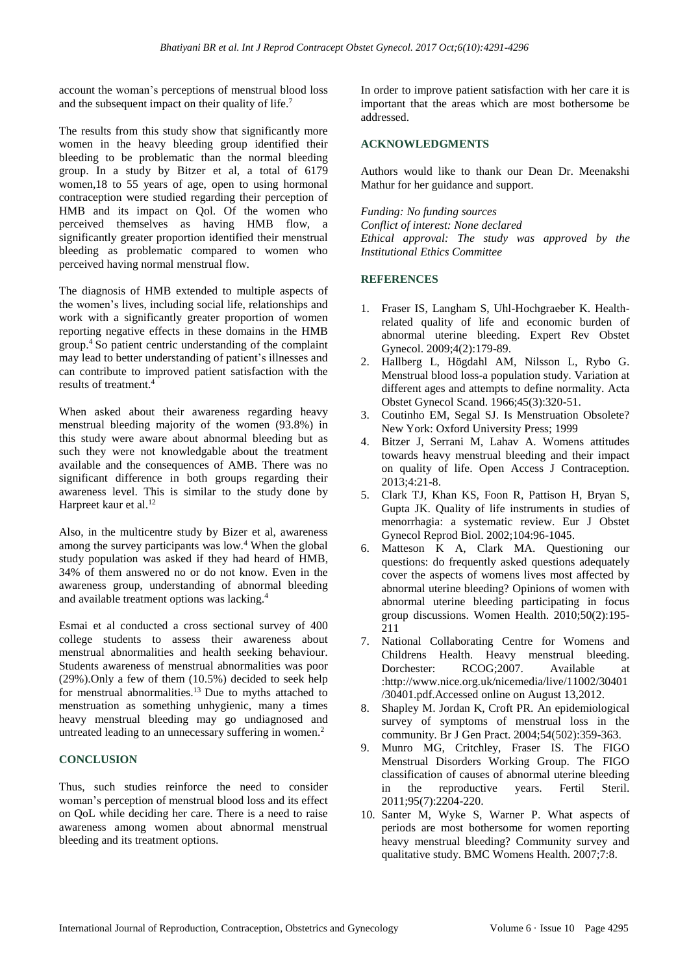account the woman's perceptions of menstrual blood loss and the subsequent impact on their quality of life.<sup>7</sup>

The results from this study show that significantly more women in the heavy bleeding group identified their bleeding to be problematic than the normal bleeding group. In a study by Bitzer et al, a total of 6179 women,18 to 55 years of age, open to using hormonal contraception were studied regarding their perception of HMB and its impact on Qol. Of the women who perceived themselves as having HMB flow, a significantly greater proportion identified their menstrual bleeding as problematic compared to women who perceived having normal menstrual flow.

The diagnosis of HMB extended to multiple aspects of the women's lives, including social life, relationships and work with a significantly greater proportion of women reporting negative effects in these domains in the HMB group.<sup>4</sup> So patient centric understanding of the complaint may lead to better understanding of patient's illnesses and can contribute to improved patient satisfaction with the results of treatment.<sup>4</sup>

When asked about their awareness regarding heavy menstrual bleeding majority of the women (93.8%) in this study were aware about abnormal bleeding but as such they were not knowledgable about the treatment available and the consequences of AMB. There was no significant difference in both groups regarding their awareness level. This is similar to the study done by Harpreet kaur et al.<sup>12</sup>

Also, in the multicentre study by Bizer et al, awareness among the survey participants was low.<sup>4</sup> When the global study population was asked if they had heard of HMB, 34% of them answered no or do not know. Even in the awareness group, understanding of abnormal bleeding and available treatment options was lacking.<sup>4</sup>

Esmai et al conducted a cross sectional survey of 400 college students to assess their awareness about menstrual abnormalities and health seeking behaviour. Students awareness of menstrual abnormalities was poor (29%).Only a few of them (10.5%) decided to seek help for menstrual abnormalities.<sup>13</sup> Due to myths attached to menstruation as something unhygienic, many a times heavy menstrual bleeding may go undiagnosed and untreated leading to an unnecessary suffering in women.<sup>2</sup>

### **CONCLUSION**

Thus, such studies reinforce the need to consider woman's perception of menstrual blood loss and its effect on QoL while deciding her care. There is a need to raise awareness among women about abnormal menstrual bleeding and its treatment options.

In order to improve patient satisfaction with her care it is important that the areas which are most bothersome be addressed.

### **ACKNOWLEDGMENTS**

Authors would like to thank our Dean Dr. Meenakshi Mathur for her guidance and support.

*Funding: No funding sources Conflict of interest: None declared Ethical approval: The study was approved by the Institutional Ethics Committee*

# **REFERENCES**

- 1. Fraser IS, Langham S, Uhl-Hochgraeber K. Healthrelated quality of life and economic burden of abnormal uterine bleeding. Expert Rev Obstet Gynecol. 2009;4(2):179-89.
- 2. Hallberg L, Högdahl AM, Nilsson L, Rybo G. Menstrual blood loss-a population study. Variation at different ages and attempts to define normality. Acta Obstet Gynecol Scand. 1966;45(3):320-51.
- 3. Coutinho EM, Segal SJ. Is Menstruation Obsolete? New York: Oxford University Press; 1999
- 4. Bitzer J, Serrani M, Lahav A. Womens attitudes towards heavy menstrual bleeding and their impact on quality of life. Open Access J Contraception. 2013;4:21-8.
- 5. Clark TJ, Khan KS, Foon R, Pattison H, Bryan S, Gupta JK. Quality of life instruments in studies of menorrhagia: a systematic review. Eur J Obstet Gynecol Reprod Biol. 2002;104:96-1045.
- 6. Matteson K A, Clark MA. Questioning our questions: do frequently asked questions adequately cover the aspects of womens lives most affected by abnormal uterine bleeding? Opinions of women with abnormal uterine bleeding participating in focus group discussions. Women Health. 2010;50(2):195- 211
- 7. National Collaborating Centre for Womens and Childrens Health. Heavy menstrual bleeding. Dorchester: RCOG;2007. Available at :http://www.nice.org.uk/nicemedia/live/11002/30401 /30401.pdf.Accessed online on August 13,2012.
- 8. Shapley M. Jordan K, Croft PR. An epidemiological survey of symptoms of menstrual loss in the community. Br J Gen Pract. 2004;54(502):359-363.
- 9. Munro MG, Critchley, Fraser IS. The FIGO Menstrual Disorders Working Group. The FIGO classification of causes of abnormal uterine bleeding in the reproductive years. Fertil Steril. 2011;95(7):2204-220.
- 10. Santer M, Wyke S, Warner P. What aspects of periods are most bothersome for women reporting heavy menstrual bleeding? Community survey and qualitative study. BMC Womens Health. 2007;7:8.